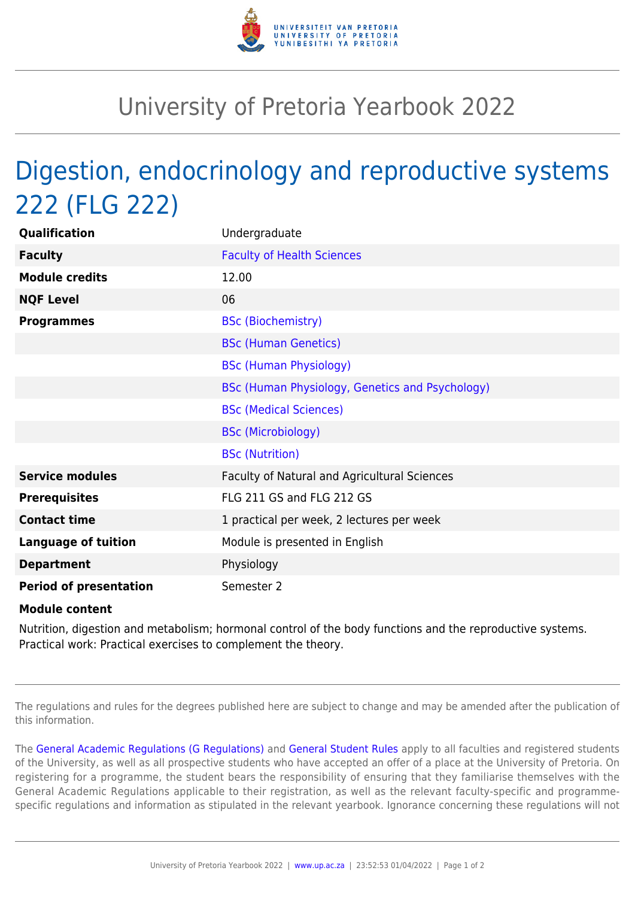

## University of Pretoria Yearbook 2022

## Digestion, endocrinology and reproductive systems 222 (FLG 222)

| Qualification                 | Undergraduate                                   |
|-------------------------------|-------------------------------------------------|
| <b>Faculty</b>                | <b>Faculty of Health Sciences</b>               |
| <b>Module credits</b>         | 12.00                                           |
| <b>NQF Level</b>              | 06                                              |
| <b>Programmes</b>             | <b>BSc (Biochemistry)</b>                       |
|                               | <b>BSc (Human Genetics)</b>                     |
|                               | <b>BSc (Human Physiology)</b>                   |
|                               | BSc (Human Physiology, Genetics and Psychology) |
|                               | <b>BSc (Medical Sciences)</b>                   |
|                               | <b>BSc (Microbiology)</b>                       |
|                               | <b>BSc (Nutrition)</b>                          |
| <b>Service modules</b>        | Faculty of Natural and Agricultural Sciences    |
| <b>Prerequisites</b>          | FLG 211 GS and FLG 212 GS                       |
| <b>Contact time</b>           | 1 practical per week, 2 lectures per week       |
| <b>Language of tuition</b>    | Module is presented in English                  |
| <b>Department</b>             | Physiology                                      |
| <b>Period of presentation</b> | Semester 2                                      |

## **Module content**

Nutrition, digestion and metabolism; hormonal control of the body functions and the reproductive systems. Practical work: Practical exercises to complement the theory.

The regulations and rules for the degrees published here are subject to change and may be amended after the publication of this information.

The [General Academic Regulations \(G Regulations\)](https://www.up.ac.za/yearbooks/2022/rules/view/REG) and [General Student Rules](https://www.up.ac.za/yearbooks/2022/rules/view/RUL) apply to all faculties and registered students of the University, as well as all prospective students who have accepted an offer of a place at the University of Pretoria. On registering for a programme, the student bears the responsibility of ensuring that they familiarise themselves with the General Academic Regulations applicable to their registration, as well as the relevant faculty-specific and programmespecific regulations and information as stipulated in the relevant yearbook. Ignorance concerning these regulations will not